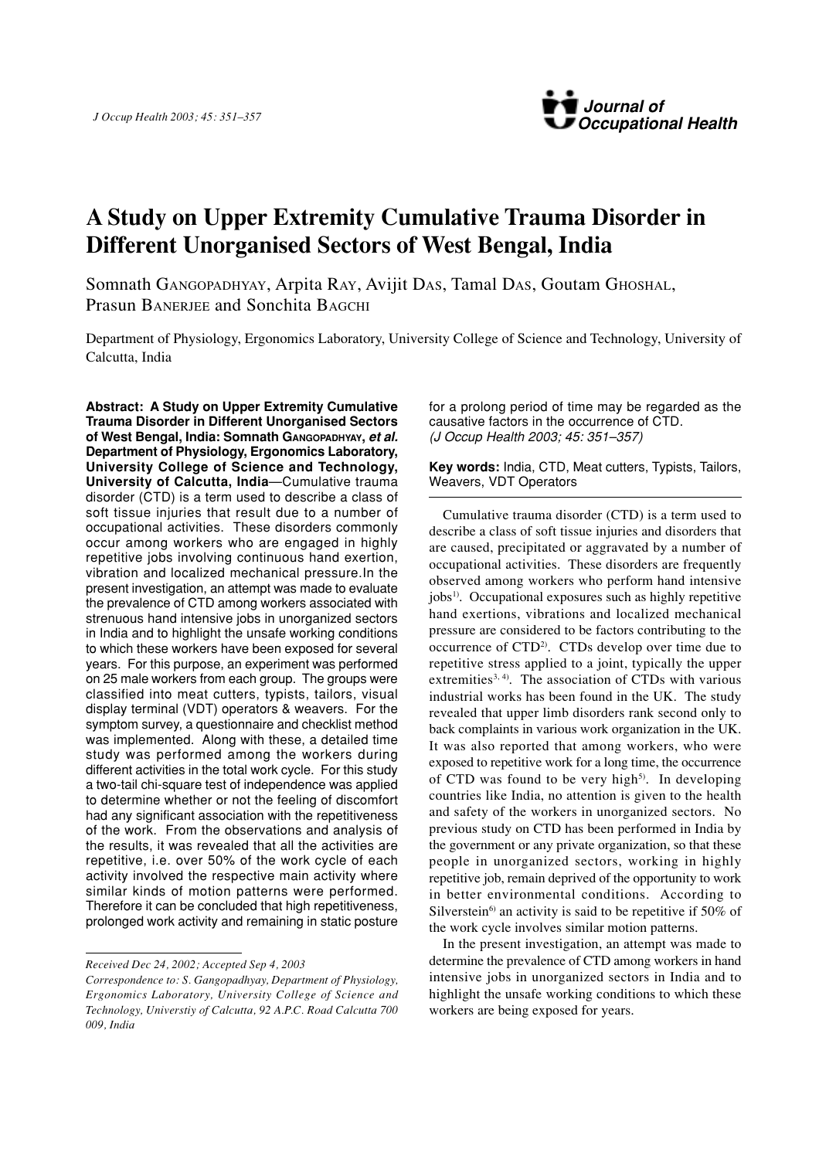

## **A Study on Upper Extremity Cumulative Trauma Disorder in Different Unorganised Sectors of West Bengal, India**

Somnath GANGOPADHYAY, Arpita RAY, Avijit DAS, Tamal DAS, Goutam GHOSHAL, Prasun BANERJEE and Sonchita BAGCHI

Department of Physiology, Ergonomics Laboratory, University College of Science and Technology, University of Calcutta, India

**Abstract: A Study on Upper Extremity Cumulative Trauma Disorder in Different Unorganised Sectors of West Bengal, India: Somnath GANGOPADHYAY, et al. Department of Physiology, Ergonomics Laboratory, University College of Science and Technology, University of Calcutta, India**—Cumulative trauma disorder (CTD) is a term used to describe a class of soft tissue injuries that result due to a number of occupational activities. These disorders commonly occur among workers who are engaged in highly repetitive jobs involving continuous hand exertion, vibration and localized mechanical pressure.In the present investigation, an attempt was made to evaluate the prevalence of CTD among workers associated with strenuous hand intensive jobs in unorganized sectors in India and to highlight the unsafe working conditions to which these workers have been exposed for several years. For this purpose, an experiment was performed on 25 male workers from each group. The groups were classified into meat cutters, typists, tailors, visual display terminal (VDT) operators & weavers. For the symptom survey, a questionnaire and checklist method was implemented. Along with these, a detailed time study was performed among the workers during different activities in the total work cycle. For this study a two-tail chi-square test of independence was applied to determine whether or not the feeling of discomfort had any significant association with the repetitiveness of the work. From the observations and analysis of the results, it was revealed that all the activities are repetitive, i.e. over 50% of the work cycle of each activity involved the respective main activity where similar kinds of motion patterns were performed. Therefore it can be concluded that high repetitiveness, prolonged work activity and remaining in static posture

*Received Dec 24, 2002; Accepted Sep 4, 2003*

for a prolong period of time may be regarded as the causative factors in the occurrence of CTD. (J Occup Health 2003; 45: 351–357)

**Key words:** India, CTD, Meat cutters, Typists, Tailors, Weavers, VDT Operators

Cumulative trauma disorder (CTD) is a term used to describe a class of soft tissue injuries and disorders that are caused, precipitated or aggravated by a number of occupational activities. These disorders are frequently observed among workers who perform hand intensive  $i<sub>obs</sub>$ <sup>1)</sup>. Occupational exposures such as highly repetitive hand exertions, vibrations and localized mechanical pressure are considered to be factors contributing to the occurrence of CTD2). CTDs develop over time due to repetitive stress applied to a joint, typically the upper extremities<sup>3, 4)</sup>. The association of CTDs with various industrial works has been found in the UK. The study revealed that upper limb disorders rank second only to back complaints in various work organization in the UK. It was also reported that among workers, who were exposed to repetitive work for a long time, the occurrence of CTD was found to be very high<sup>5)</sup>. In developing countries like India, no attention is given to the health and safety of the workers in unorganized sectors. No previous study on CTD has been performed in India by the government or any private organization, so that these people in unorganized sectors, working in highly repetitive job, remain deprived of the opportunity to work in better environmental conditions. According to Silverstein<sup>6)</sup> an activity is said to be repetitive if  $50\%$  of the work cycle involves similar motion patterns.

In the present investigation, an attempt was made to determine the prevalence of CTD among workers in hand intensive jobs in unorganized sectors in India and to highlight the unsafe working conditions to which these workers are being exposed for years.

*Correspondence to: S. Gangopadhyay, Department of Physiology, Ergonomics Laboratory, University College of Science and Technology, Universtiy of Calcutta, 92 A.P.C. Road Calcutta 700 009, India*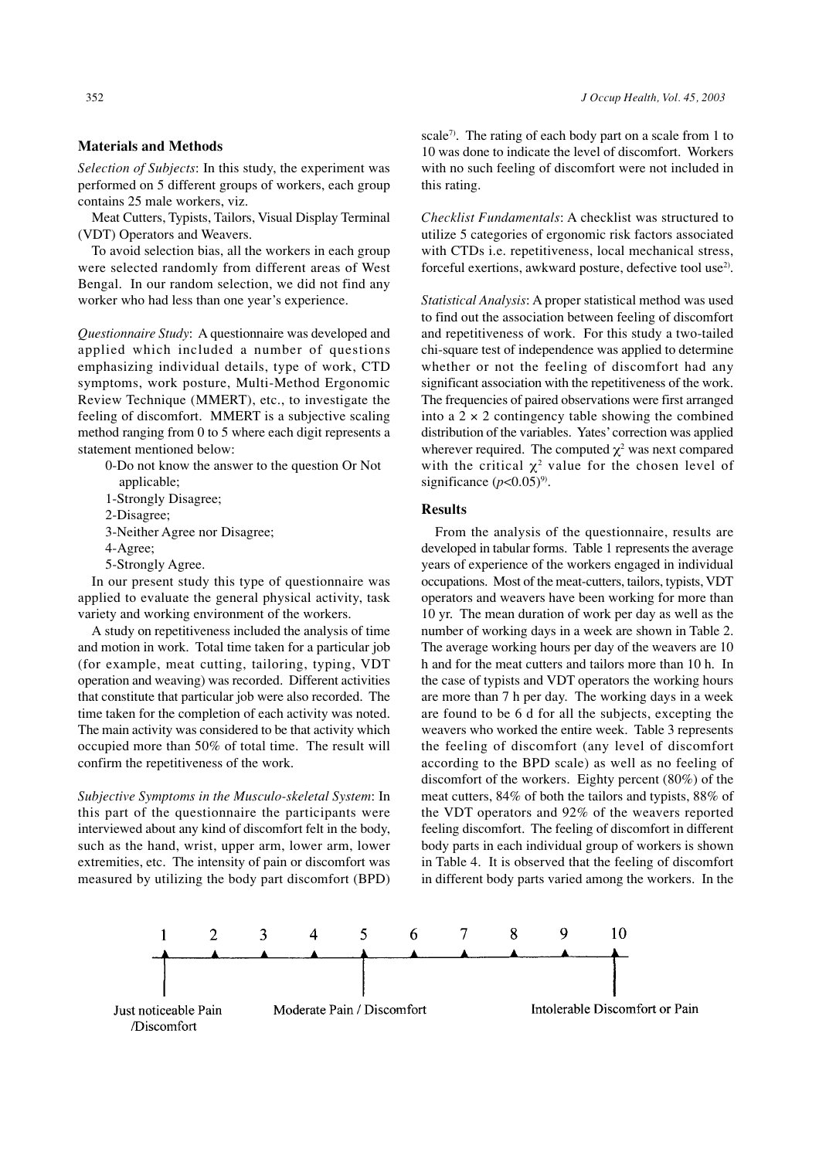*Selection of Subjects*: In this study, the experiment was performed on 5 different groups of workers, each group contains 25 male workers, viz.

Meat Cutters, Typists, Tailors, Visual Display Terminal (VDT) Operators and Weavers.

To avoid selection bias, all the workers in each group were selected randomly from different areas of West Bengal. In our random selection, we did not find any worker who had less than one year's experience.

*Questionnaire Study*: A questionnaire was developed and applied which included a number of questions emphasizing individual details, type of work, CTD symptoms, work posture, Multi-Method Ergonomic Review Technique (MMERT), etc., to investigate the feeling of discomfort. MMERT is a subjective scaling method ranging from 0 to 5 where each digit represents a statement mentioned below:

0-Do not know the answer to the question Or Not applicable;

- 1-Strongly Disagree;
- 2-Disagree;
- 3-Neither Agree nor Disagree;
- 4-Agree;
- 5-Strongly Agree.

In our present study this type of questionnaire was applied to evaluate the general physical activity, task variety and working environment of the workers.

A study on repetitiveness included the analysis of time and motion in work. Total time taken for a particular job (for example, meat cutting, tailoring, typing, VDT operation and weaving) was recorded. Different activities that constitute that particular job were also recorded. The time taken for the completion of each activity was noted. The main activity was considered to be that activity which occupied more than 50% of total time. The result will confirm the repetitiveness of the work.

*Subjective Symptoms in the Musculo-skeletal System*: In this part of the questionnaire the participants were interviewed about any kind of discomfort felt in the body, such as the hand, wrist, upper arm, lower arm, lower extremities, etc. The intensity of pain or discomfort was measured by utilizing the body part discomfort (BPD) scale<sup>7)</sup>. The rating of each body part on a scale from 1 to 10 was done to indicate the level of discomfort. Workers with no such feeling of discomfort were not included in this rating.

*Checklist Fundamentals*: A checklist was structured to utilize 5 categories of ergonomic risk factors associated with CTDs *i.e.* repetitiveness, local mechanical stress, forceful exertions, awkward posture, defective tool use<sup>2)</sup>.

*Statistical Analysis*: A proper statistical method was used to find out the association between feeling of discomfort and repetitiveness of work. For this study a two-tailed chi-square test of independence was applied to determine whether or not the feeling of discomfort had any significant association with the repetitiveness of the work. The frequencies of paired observations were first arranged into a  $2 \times 2$  contingency table showing the combined distribution of the variables. Yates' correction was applied wherever required. The computed  $\chi^2$  was next compared with the critical  $\chi^2$  value for the chosen level of significance  $(p<0.05)^9$ .

## **Results**

From the analysis of the questionnaire, results are developed in tabular forms. Table 1 represents the average years of experience of the workers engaged in individual occupations. Most of the meat-cutters, tailors, typists, VDT operators and weavers have been working for more than 10 yr. The mean duration of work per day as well as the number of working days in a week are shown in Table 2. The average working hours per day of the weavers are 10 h and for the meat cutters and tailors more than 10 h. In the case of typists and VDT operators the working hours are more than 7 h per day. The working days in a week are found to be 6 d for all the subjects, excepting the weavers who worked the entire week. Table 3 represents the feeling of discomfort (any level of discomfort according to the BPD scale) as well as no feeling of discomfort of the workers. Eighty percent (80%) of the meat cutters, 84% of both the tailors and typists, 88% of the VDT operators and 92% of the weavers reported feeling discomfort. The feeling of discomfort in different body parts in each individual group of workers is shown in Table 4. It is observed that the feeling of discomfort in different body parts varied among the workers. In the

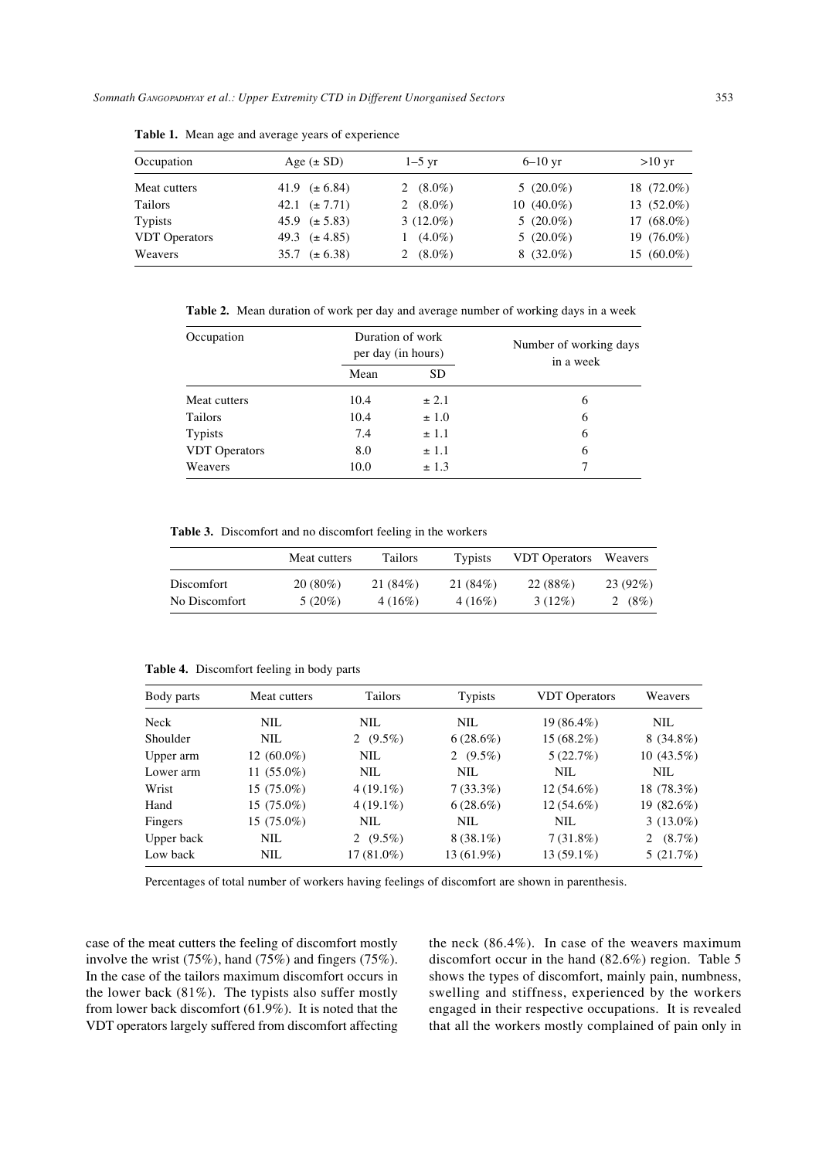| Occupation           | Age $(\pm SD)$    | $1-5$ yr    | $6-10$ yr    | $>10 \text{ yr}$ |
|----------------------|-------------------|-------------|--------------|------------------|
| Meat cutters         | 41.9 $(\pm 6.84)$ | 2 $(8.0\%)$ | 5 $(20.0\%)$ | 18 (72.0%)       |
| Tailors              | 42.1 $(\pm 7.71)$ | 2 $(8.0\%)$ | $10(40.0\%)$ | 13 $(52.0\%)$    |
| Typists              | 45.9 $(\pm 5.83)$ | $3(12.0\%)$ | $5(20.0\%)$  | 17 $(68.0\%)$    |
| <b>VDT</b> Operators | 49.3 $(\pm 4.85)$ | $(4.0\%)$   | $5(20.0\%)$  | 19 $(76.0\%)$    |
| Weavers              | 35.7 $(\pm 6.38)$ | 2 $(8.0\%)$ | $8(32.0\%)$  | $15(60.0\%)$     |

**Table 1.** Mean age and average years of experience

**Table 2.** Mean duration of work per day and average number of working days in a week

| Occupation           | Duration of work<br>per day (in hours) |           | Number of working days<br>in a week |
|----------------------|----------------------------------------|-----------|-------------------------------------|
|                      | Mean                                   | <b>SD</b> |                                     |
| Meat cutters         | 10.4                                   | $\pm 2.1$ | 6                                   |
| Tailors              | 10.4                                   | ± 1.0     | 6                                   |
| <b>Typists</b>       | 7.4                                    | $\pm$ 1.1 | 6                                   |
| <b>VDT</b> Operators | 8.0                                    | $\pm$ 1.1 | 6                                   |
| Weavers              | 10.0                                   | $\pm$ 1.3 | 7                                   |

**Table 3.** Discomfort and no discomfort feeling in the workers

|               | Meat cutters | <b>Tailors</b> | <b>Typists</b> | <b>VDT</b> Operators | Weavers  |
|---------------|--------------|----------------|----------------|----------------------|----------|
| Discomfort    | $20(80\%)$   | 21(84%)        | 21(84%)        | 22 (88%)             | 23(92%)  |
| No Discomfort | $5(20\%)$    | 4(16%)         | 4(16%)         | $3(12\%)$            | 2 $(8%)$ |

| Body parts | Meat cutters  | Tailors      | <b>Typists</b> | <b>VDT</b> Operators | Weavers       |
|------------|---------------|--------------|----------------|----------------------|---------------|
| Neck       | NIL.          | NIL.         | NIL.           | 19 (86.4%)           | NIL.          |
| Shoulder   | NIL           | 2 $(9.5\%)$  | $6(28.6\%)$    | $15(68.2\%)$         | $8(34.8\%)$   |
| Upper arm  | 12 $(60.0\%)$ | NIL.         | 2 $(9.5\%)$    | 5(22.7%)             | $10(43.5\%)$  |
| Lower arm  | 11 $(55.0\%)$ | NIL.         | NIL.           | NIL.                 | NIL.          |
| Wrist      | $15(75.0\%)$  | $4(19.1\%)$  | $7(33.3\%)$    | $12(54.6\%)$         | 18 (78.3%)    |
| Hand       | 15 (75.0%)    | $4(19.1\%)$  | $6(28.6\%)$    | $12(54.6\%)$         | 19 $(82.6\%)$ |
| Fingers    | $15(75.0\%)$  | NIL.         | NIL.           | NIL.                 | $3(13.0\%)$   |
| Upper back | <b>NIL</b>    | 2 $(9.5\%)$  | $8(38.1\%)$    | $7(31.8\%)$          | 2 $(8.7\%)$   |
| Low back   | NIL.          | $17(81.0\%)$ | 13 (61.9%)     | $13(59.1\%)$         | 5(21.7%)      |

Percentages of total number of workers having feelings of discomfort are shown in parenthesis.

case of the meat cutters the feeling of discomfort mostly involve the wrist (75%), hand (75%) and fingers (75%). In the case of the tailors maximum discomfort occurs in the lower back (81%). The typists also suffer mostly from lower back discomfort (61.9%). It is noted that the VDT operators largely suffered from discomfort affecting the neck (86.4%). In case of the weavers maximum discomfort occur in the hand (82.6%) region. Table 5 shows the types of discomfort, mainly pain, numbness, swelling and stiffness, experienced by the workers engaged in their respective occupations. It is revealed that all the workers mostly complained of pain only in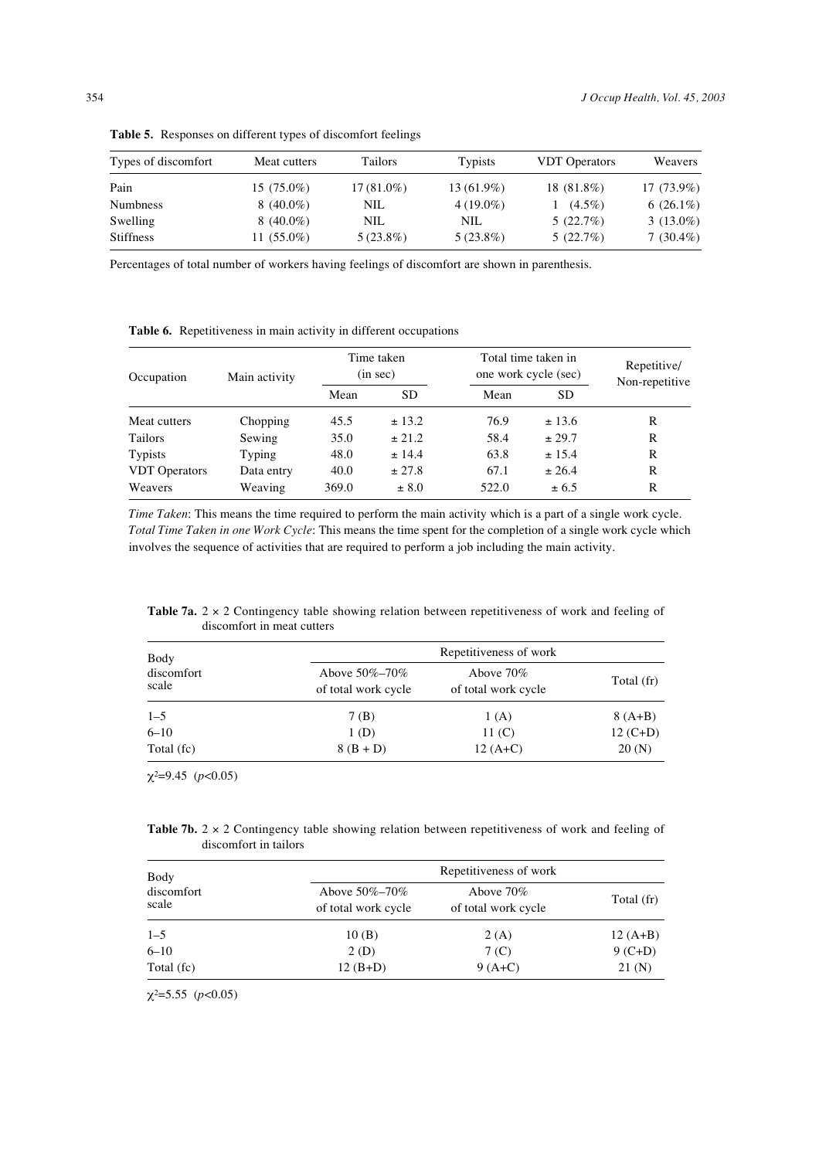| Types of discomfort | Meat cutters  | Tailors     | <b>Typists</b> | <b>VDT</b> Operators | Weavers      |
|---------------------|---------------|-------------|----------------|----------------------|--------------|
| Pain                | $15(75.0\%)$  | 17(81.0%)   | $13(61.9\%)$   | 18 (81.8%)           | $17(73.9\%)$ |
| <b>Numbness</b>     | $8(40.0\%)$   | NIL         | $4(19.0\%)$    | $(4.5\%)$            | $6(26.1\%)$  |
| Swelling            | $8(40.0\%)$   | NIL         | NIL            | 5(22.7%)             | $3(13.0\%)$  |
| <b>Stiffness</b>    | 11 $(55.0\%)$ | $5(23.8\%)$ | $5(23.8\%)$    | 5(22.7%)             | $7(30.4\%)$  |

**Table 5.** Responses on different types of discomfort feelings

Percentages of total number of workers having feelings of discomfort are shown in parenthesis.

Table 6. Repetitiveness in main activity in different occupations

| Occupation           | Main activity | Time taken<br>(in sec) |           | Total time taken in<br>one work cycle (sec) |        | Repetitive/<br>Non-repetitive |
|----------------------|---------------|------------------------|-----------|---------------------------------------------|--------|-------------------------------|
|                      |               | Mean                   | <b>SD</b> | Mean                                        | SD     |                               |
| Meat cutters         | Chopping      | 45.5                   | ± 13.2    | 76.9                                        | ± 13.6 | R                             |
| <b>Tailors</b>       | Sewing        | 35.0                   | ± 21.2    | 58.4                                        | ± 29.7 | R                             |
| <b>Typists</b>       | Typing        | 48.0                   | ± 14.4    | 63.8                                        | ± 15.4 | R                             |
| <b>VDT</b> Operators | Data entry    | 40.0                   | ± 27.8    | 67.1                                        | ± 26.4 | R                             |
| Weavers              | Weaving       | 369.0                  | ± 8.0     | 522.0                                       | ± 6.5  | R                             |

*Time Taken*: This means the time required to perform the main activity which is a part of a single work cycle. *Total Time Taken in one Work Cycle*: This means the time spent for the completion of a single work cycle which involves the sequence of activities that are required to perform a job including the main activity.

**Table 7a.** 2 × 2 Contingency table showing relation between repetitiveness of work and feeling of discomfort in meat cutters

| Body                |                                            | Repetitiveness of work              |            |
|---------------------|--------------------------------------------|-------------------------------------|------------|
| discomfort<br>scale | Above $50\% - 70\%$<br>of total work cycle | Above $70\%$<br>of total work cycle | Total (fr) |
| $1 - 5$             | 7 (B)                                      | 1(A)                                | $8(A+B)$   |
| $6 - 10$            | 1(D)                                       | 11 <sub>(C)</sub>                   | $12 (C+D)$ |
| Total (fc)          | $8(B+D)$                                   | $12(A+C)$                           | 20(N)      |

 $\chi^2 = 9.45$  ( $p < 0.05$ )

**Table 7b.** 2 × 2 Contingency table showing relation between repetitiveness of work and feeling of discomfort in tailors

| Body                |                                      | Repetitiveness of work              |            |
|---------------------|--------------------------------------|-------------------------------------|------------|
| discomfort<br>scale | Above 50%–70%<br>of total work cycle | Above $70\%$<br>of total work cycle | Total (fr) |
| $1 - 5$             | 10(B)                                | 2(A)                                | $12(A+B)$  |
| $6 - 10$            | 2(D)                                 | 7 <sub>(C)</sub>                    | $9(C+D)$   |
| Total (fc)          | $12(B+D)$                            | $9(A+C)$                            | 21(N)      |

 $\chi^2$ =5.55 (*p*<0.05)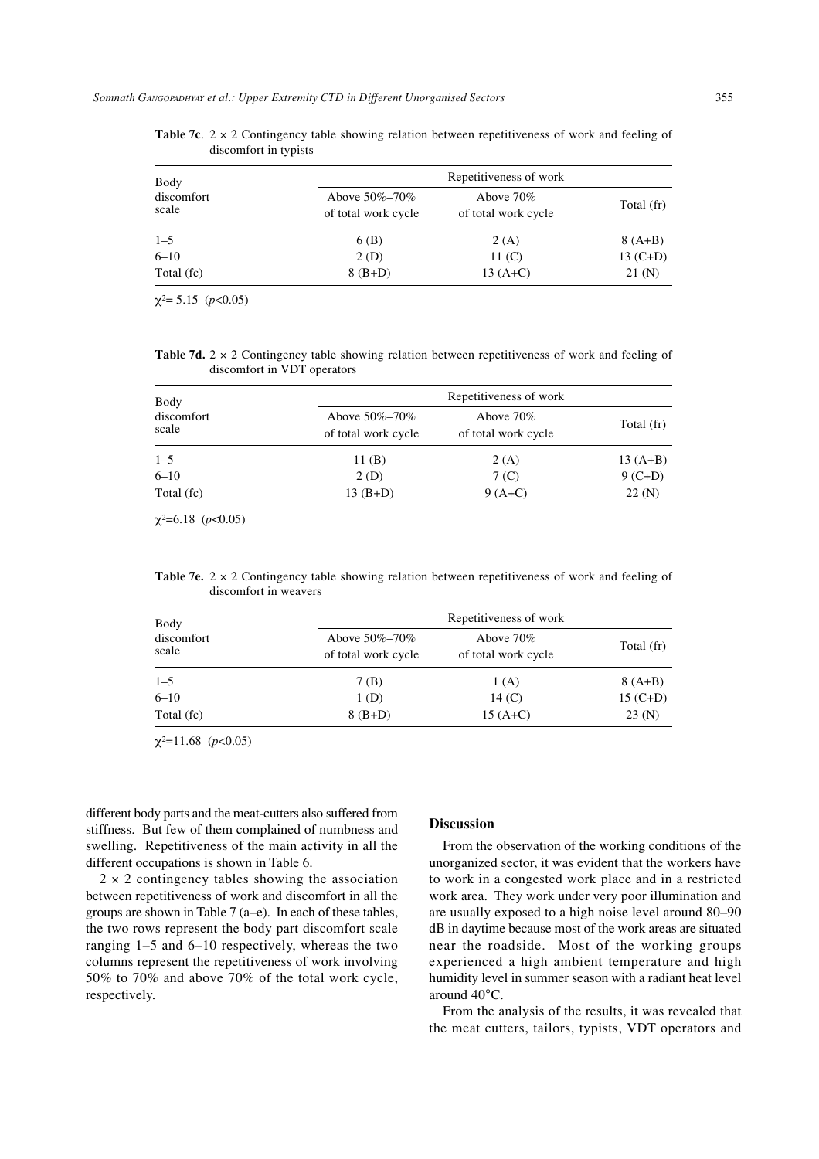| Body                |                                      | Repetitiveness of work              |            |
|---------------------|--------------------------------------|-------------------------------------|------------|
| discomfort<br>scale | Above 50%–70%<br>of total work cycle | Above $70\%$<br>of total work cycle | Total (fr) |
| $1 - 5$             | 6(B)                                 | 2(A)                                | $8(A+B)$   |
| $6 - 10$            | 2(D)                                 | 11 <sub>(C)</sub>                   | $13 (C+D)$ |
| Total (fc)          | $8(B+D)$                             | $13(A+C)$                           | 21(N)      |

Table 7c. 2 × 2 Contingency table showing relation between repetitiveness of work and feeling of discomfort in typists

 $\chi^2$ = 5.15 (*p*<0.05)

**Table 7d.** 2 × 2 Contingency table showing relation between repetitiveness of work and feeling of discomfort in VDT operators

| Body                |                                      | Repetitiveness of work              |            |
|---------------------|--------------------------------------|-------------------------------------|------------|
| discomfort<br>scale | Above 50%–70%<br>of total work cycle | Above $70\%$<br>of total work cycle | Total (fr) |
| $1 - 5$             | 11 $(B)$                             | 2(A)                                | $13(A+B)$  |
| $6 - 10$            | 2(D)                                 | 7 <sub>(C)</sub>                    | $9(C+D)$   |
| Total (fc)          | $13(B+D)$                            | $9(A+C)$                            | 22(N)      |

 $\chi^2$ =6.18 (*p*<0.05)

**Table 7e.** 2 × 2 Contingency table showing relation between repetitiveness of work and feeling of discomfort in weavers

| Body                |                                      | Repetitiveness of work              |            |
|---------------------|--------------------------------------|-------------------------------------|------------|
| discomfort<br>scale | Above 50%-70%<br>of total work cycle | Above $70\%$<br>of total work cycle | Total (fr) |
| $1 - 5$             | 7 (B)                                | 1(A)                                | $8(A+B)$   |
| $6 - 10$            | 1(D)                                 | 14 $(C)$                            | $15 (C+D)$ |
| Total (fc)          | $8(B+D)$                             | $15(A+C)$                           | 23(N)      |

 $\chi^2$ =11.68 (*p*<0.05)

different body parts and the meat-cutters also suffered from stiffness. But few of them complained of numbness and swelling. Repetitiveness of the main activity in all the different occupations is shown in Table 6.

 $2 \times 2$  contingency tables showing the association between repetitiveness of work and discomfort in all the groups are shown in Table 7 (a–e). In each of these tables, the two rows represent the body part discomfort scale ranging 1–5 and 6–10 respectively, whereas the two columns represent the repetitiveness of work involving 50% to 70% and above 70% of the total work cycle, respectively.

## **Discussion**

From the observation of the working conditions of the unorganized sector, it was evident that the workers have to work in a congested work place and in a restricted work area. They work under very poor illumination and are usually exposed to a high noise level around 80–90 dB in daytime because most of the work areas are situated near the roadside. Most of the working groups experienced a high ambient temperature and high humidity level in summer season with a radiant heat level around 40°C.

From the analysis of the results, it was revealed that the meat cutters, tailors, typists, VDT operators and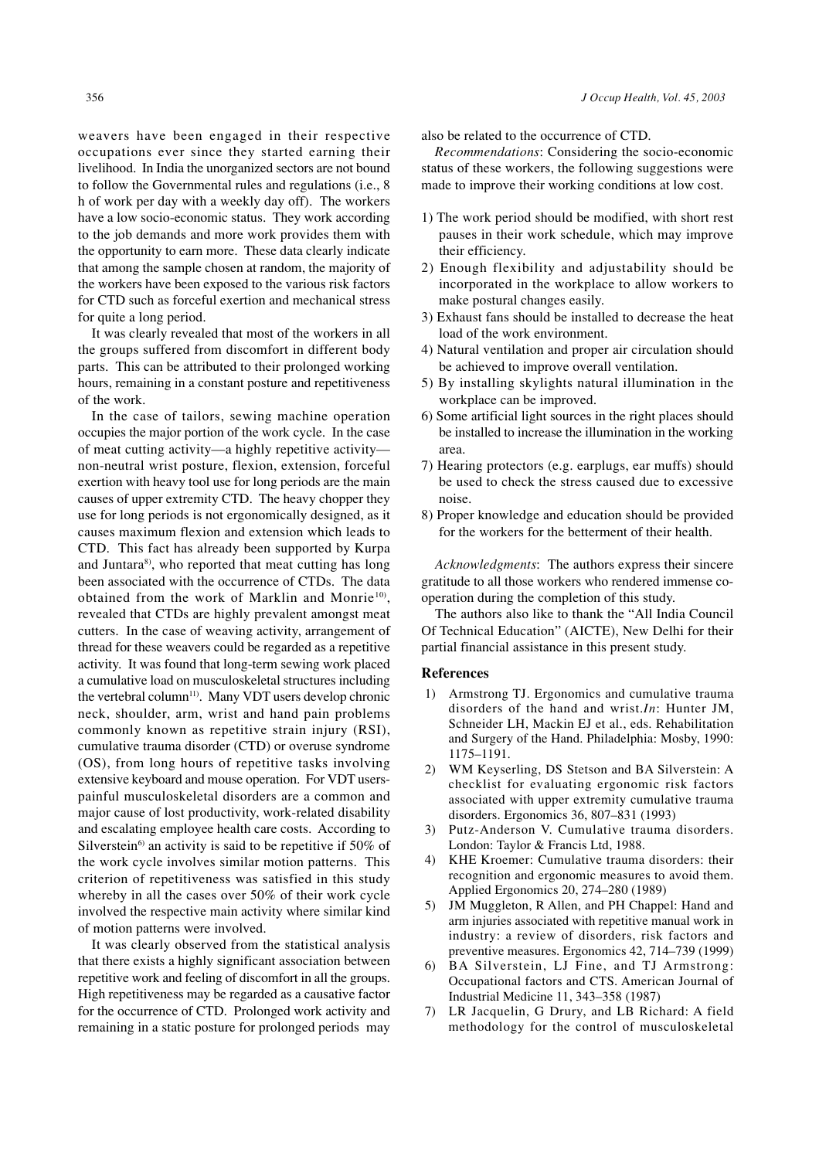weavers have been engaged in their respective occupations ever since they started earning their livelihood. In India the unorganized sectors are not bound to follow the Governmental rules and regulations (i.e., 8 h of work per day with a weekly day off). The workers have a low socio-economic status. They work according to the job demands and more work provides them with the opportunity to earn more. These data clearly indicate that among the sample chosen at random, the majority of the workers have been exposed to the various risk factors for CTD such as forceful exertion and mechanical stress for quite a long period.

It was clearly revealed that most of the workers in all the groups suffered from discomfort in different body parts. This can be attributed to their prolonged working hours, remaining in a constant posture and repetitiveness of the work.

In the case of tailors, sewing machine operation occupies the major portion of the work cycle. In the case of meat cutting activity—a highly repetitive activity non-neutral wrist posture, flexion, extension, forceful exertion with heavy tool use for long periods are the main causes of upper extremity CTD. The heavy chopper they use for long periods is not ergonomically designed, as it causes maximum flexion and extension which leads to CTD. This fact has already been supported by Kurpa and Juntara<sup>8</sup>, who reported that meat cutting has long been associated with the occurrence of CTDs. The data obtained from the work of Marklin and Monrie<sup>10</sup>), revealed that CTDs are highly prevalent amongst meat cutters. In the case of weaving activity, arrangement of thread for these weavers could be regarded as a repetitive activity. It was found that long-term sewing work placed a cumulative load on musculoskeletal structures including the vertebral column<sup>11)</sup>. Many VDT users develop chronic neck, shoulder, arm, wrist and hand pain problems commonly known as repetitive strain injury (RSI), cumulative trauma disorder (CTD) or overuse syndrome (OS), from long hours of repetitive tasks involving extensive keyboard and mouse operation. For VDT userspainful musculoskeletal disorders are a common and major cause of lost productivity, work-related disability and escalating employee health care costs. According to Silverstein<sup>6</sup> an activity is said to be repetitive if 50% of the work cycle involves similar motion patterns. This criterion of repetitiveness was satisfied in this study whereby in all the cases over 50% of their work cycle involved the respective main activity where similar kind of motion patterns were involved.

It was clearly observed from the statistical analysis that there exists a highly significant association between repetitive work and feeling of discomfort in all the groups. High repetitiveness may be regarded as a causative factor for the occurrence of CTD. Prolonged work activity and remaining in a static posture for prolonged periods may

also be related to the occurrence of CTD.

*Recommendations*: Considering the socio-economic status of these workers, the following suggestions were made to improve their working conditions at low cost.

- 1) The work period should be modified, with short rest pauses in their work schedule, which may improve their efficiency.
- 2) Enough flexibility and adjustability should be incorporated in the workplace to allow workers to make postural changes easily.
- 3) Exhaust fans should be installed to decrease the heat load of the work environment.
- 4) Natural ventilation and proper air circulation should be achieved to improve overall ventilation.
- 5) By installing skylights natural illumination in the workplace can be improved.
- 6) Some artificial light sources in the right places should be installed to increase the illumination in the working area.
- 7) Hearing protectors (e.g. earplugs, ear muffs) should be used to check the stress caused due to excessive noise.
- 8) Proper knowledge and education should be provided for the workers for the betterment of their health.

*Acknowledgments*: The authors express their sincere gratitude to all those workers who rendered immense cooperation during the completion of this study.

The authors also like to thank the "All India Council Of Technical Education" (AICTE), New Delhi for their partial financial assistance in this present study.

## **References**

- 1) Armstrong TJ. Ergonomics and cumulative trauma disorders of the hand and wrist.*In*: Hunter JM, Schneider LH, Mackin EJ et al., eds. Rehabilitation and Surgery of the Hand. Philadelphia: Mosby, 1990: 1175–1191.
- 2) WM Keyserling, DS Stetson and BA Silverstein: A checklist for evaluating ergonomic risk factors associated with upper extremity cumulative trauma disorders. Ergonomics 36, 807–831 (1993)
- 3) Putz-Anderson V. Cumulative trauma disorders. London: Taylor & Francis Ltd, 1988.
- 4) KHE Kroemer: Cumulative trauma disorders: their recognition and ergonomic measures to avoid them. Applied Ergonomics 20, 274–280 (1989)
- 5) JM Muggleton, R Allen, and PH Chappel: Hand and arm injuries associated with repetitive manual work in industry: a review of disorders, risk factors and preventive measures. Ergonomics 42, 714–739 (1999)
- 6) BA Silverstein, LJ Fine, and TJ Armstrong: Occupational factors and CTS. American Journal of Industrial Medicine 11, 343–358 (1987)
- LR Jacquelin, G Drury, and LB Richard: A field methodology for the control of musculoskeletal